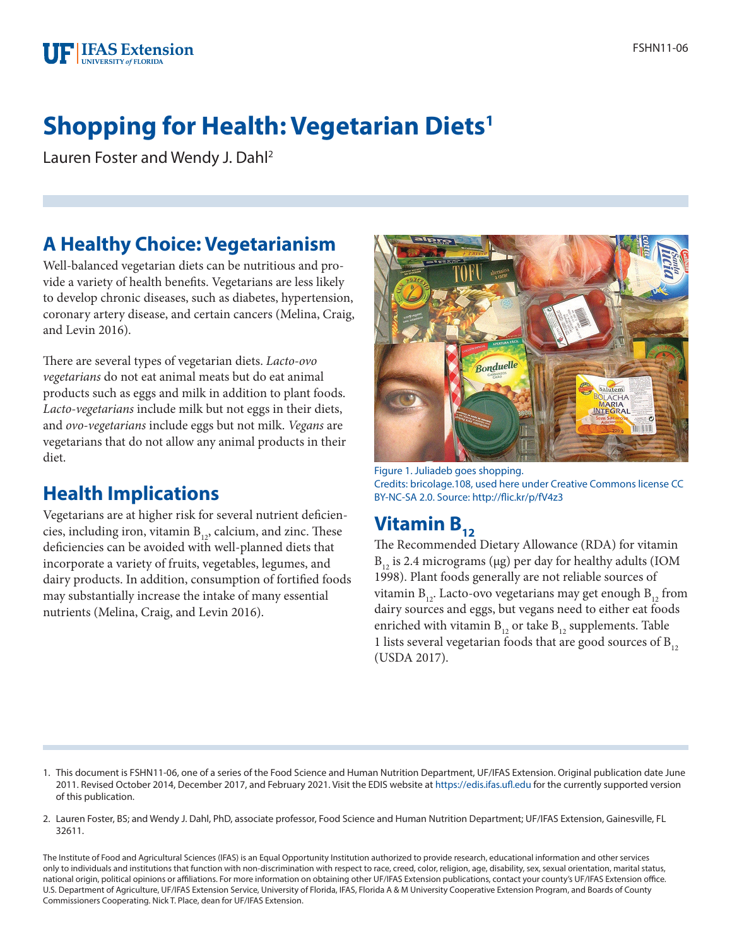

# **Shopping for Health: Vegetarian Diets1**

Lauren Foster and Wendy J. Dahl2

## **A Healthy Choice: Vegetarianism**

Well-balanced vegetarian diets can be nutritious and provide a variety of health benefits. Vegetarians are less likely to develop chronic diseases, such as diabetes, hypertension, coronary artery disease, and certain cancers (Melina, Craig, and Levin 2016).

There are several types of vegetarian diets. *Lacto-ovo vegetarians* do not eat animal meats but do eat animal products such as eggs and milk in addition to plant foods. *Lacto-vegetarians* include milk but not eggs in their diets, and *ovo-vegetarians* include eggs but not milk. *Vegans* are vegetarians that do not allow any animal products in their diet.

### **Health Implications**

Vegetarians are at higher risk for several nutrient deficiencies, including iron, vitamin  $B_{12}$ , calcium, and zinc. These deficiencies can be avoided with well-planned diets that incorporate a variety of fruits, vegetables, legumes, and dairy products. In addition, consumption of fortified foods may substantially increase the intake of many essential nutrients (Melina, Craig, and Levin 2016).



Figure 1. Juliadeb goes shopping. Credits: bricolage.108, used here under Creative Commons license CC BY-NC-SA 2.0. Source: http://flic.kr/p/fV4z3

# **Vitamin B<sub>12</sub>**

The Recommended Dietary Allowance (RDA) for vitamin  $B_{12}$  is 2.4 micrograms (µg) per day for healthy adults (IOM 1998). Plant foods generally are not reliable sources of vitamin  $B_{12}$ . Lacto-ovo vegetarians may get enough  $B_{12}$  from dairy sources and eggs, but vegans need to either eat foods enriched with vitamin  $B_{12}$  or take  $B_{12}$  supplements. Table 1 lists several vegetarian foods that are good sources of  $B_{12}$ (USDA 2017).

- 1. This document is FSHN11-06, one of a series of the Food Science and Human Nutrition Department, UF/IFAS Extension. Original publication date June 2011. Revised October 2014, December 2017, and February 2021. Visit the EDIS website at<https://edis.ifas.ufl.edu>for the currently supported version of this publication.
- 2. Lauren Foster, BS; and Wendy J. Dahl, PhD, associate professor, Food Science and Human Nutrition Department; UF/IFAS Extension, Gainesville, FL 32611.

The Institute of Food and Agricultural Sciences (IFAS) is an Equal Opportunity Institution authorized to provide research, educational information and other services only to individuals and institutions that function with non-discrimination with respect to race, creed, color, religion, age, disability, sex, sexual orientation, marital status, national origin, political opinions or affiliations. For more information on obtaining other UF/IFAS Extension publications, contact your county's UF/IFAS Extension office. U.S. Department of Agriculture, UF/IFAS Extension Service, University of Florida, IFAS, Florida A & M University Cooperative Extension Program, and Boards of County Commissioners Cooperating. Nick T. Place, dean for UF/IFAS Extension.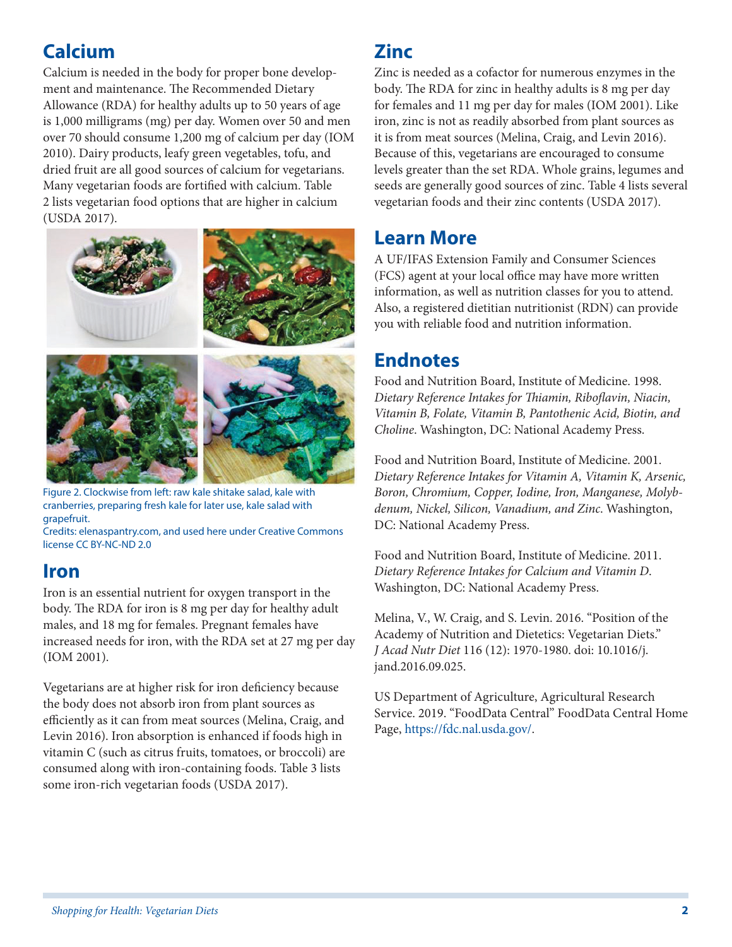# **Calcium**

Calcium is needed in the body for proper bone development and maintenance. The Recommended Dietary Allowance (RDA) for healthy adults up to 50 years of age is 1,000 milligrams (mg) per day. Women over 50 and men over 70 should consume 1,200 mg of calcium per day (IOM 2010). Dairy products, leafy green vegetables, tofu, and dried fruit are all good sources of calcium for vegetarians. Many vegetarian foods are fortified with calcium. Table 2 lists vegetarian food options that are higher in calcium (USDA 2017).



Figure 2. Clockwise from left: raw kale shitake salad, kale with cranberries, preparing fresh kale for later use, kale salad with grapefruit.

Credits: elenaspantry.com, and used here under Creative Commons license CC BY-NC-ND 2.0

### **Iron**

Iron is an essential nutrient for oxygen transport in the body. The RDA for iron is 8 mg per day for healthy adult males, and 18 mg for females. Pregnant females have increased needs for iron, with the RDA set at 27 mg per day (IOM 2001).

Vegetarians are at higher risk for iron deficiency because the body does not absorb iron from plant sources as efficiently as it can from meat sources (Melina, Craig, and Levin 2016). Iron absorption is enhanced if foods high in vitamin C (such as citrus fruits, tomatoes, or broccoli) are consumed along with iron-containing foods. Table 3 lists some iron-rich vegetarian foods (USDA 2017).

### **Zinc**

Zinc is needed as a cofactor for numerous enzymes in the body. The RDA for zinc in healthy adults is 8 mg per day for females and 11 mg per day for males (IOM 2001). Like iron, zinc is not as readily absorbed from plant sources as it is from meat sources (Melina, Craig, and Levin 2016). Because of this, vegetarians are encouraged to consume levels greater than the set RDA. Whole grains, legumes and seeds are generally good sources of zinc. Table 4 lists several vegetarian foods and their zinc contents (USDA 2017).

### **Learn More**

A UF/IFAS Extension Family and Consumer Sciences (FCS) agent at your local office may have more written information, as well as nutrition classes for you to attend. Also, a registered dietitian nutritionist (RDN) can provide you with reliable food and nutrition information.

### **Endnotes**

Food and Nutrition Board, Institute of Medicine. 1998. *Dietary Reference Intakes for Thiamin, Riboflavin, Niacin, Vitamin B, Folate, Vitamin B, Pantothenic Acid, Biotin, and Choline*. Washington, DC: National Academy Press.

Food and Nutrition Board, Institute of Medicine. 2001. *Dietary Reference Intakes for Vitamin A, Vitamin K, Arsenic, Boron, Chromium, Copper, Iodine, Iron, Manganese, Molybdenum, Nickel, Silicon, Vanadium, and Zinc*. Washington, DC: National Academy Press.

Food and Nutrition Board, Institute of Medicine. 2011. *Dietary Reference Intakes for Calcium and Vitamin D*. Washington, DC: National Academy Press.

Melina, V., W. Craig, and S. Levin. 2016. "Position of the Academy of Nutrition and Dietetics: Vegetarian Diets." *J Acad Nutr Diet* 116 (12): 1970-1980. doi: 10.1016/j. jand.2016.09.025.

US Department of Agriculture, Agricultural Research Service. 2019. "FoodData Central" FoodData Central Home Page, [https://fdc.nal.usda.gov/.](https://fdc.nal.usda.gov/)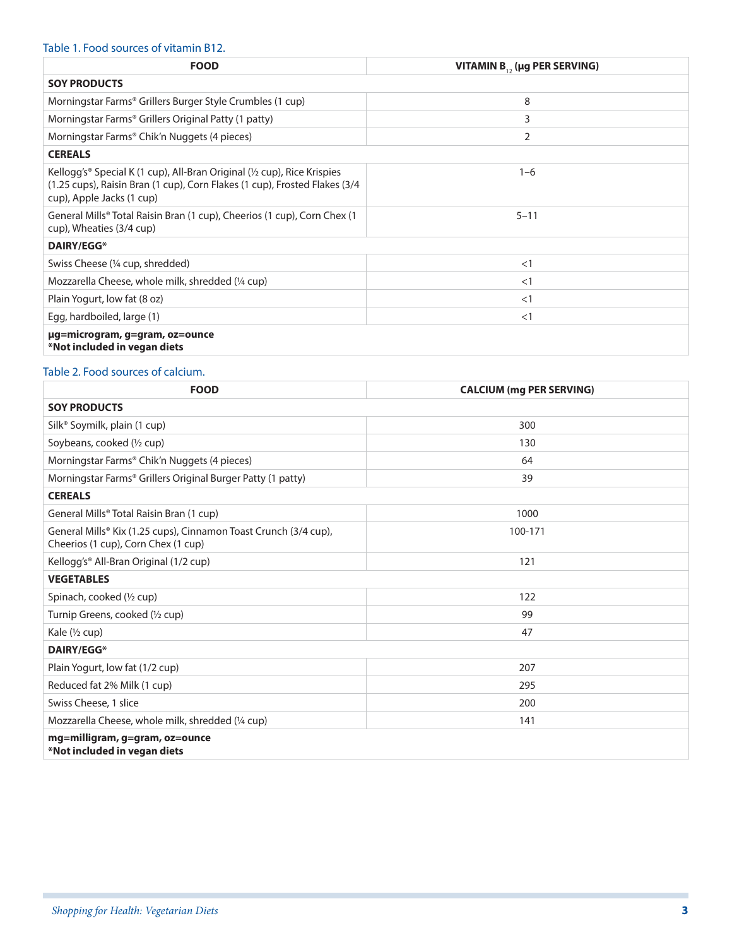#### Table 1. Food sources of vitamin B12.

| <b>FOOD</b>                                                                                                                                                                                                | VITAMIN $B_{12}$ (µg PER SERVING) |  |
|------------------------------------------------------------------------------------------------------------------------------------------------------------------------------------------------------------|-----------------------------------|--|
| <b>SOY PRODUCTS</b>                                                                                                                                                                                        |                                   |  |
| Morningstar Farms <sup>®</sup> Grillers Burger Style Crumbles (1 cup)                                                                                                                                      | 8                                 |  |
| Morningstar Farms <sup>®</sup> Grillers Original Patty (1 patty)                                                                                                                                           | 3                                 |  |
| Morningstar Farms® Chik'n Nuggets (4 pieces)                                                                                                                                                               | 2                                 |  |
| <b>CEREALS</b>                                                                                                                                                                                             |                                   |  |
| Kellogg's <sup>®</sup> Special K (1 cup), All-Bran Original ( $\frac{1}{2}$ cup), Rice Krispies<br>(1.25 cups), Raisin Bran (1 cup), Corn Flakes (1 cup), Frosted Flakes (3/4<br>cup), Apple Jacks (1 cup) | $1 - 6$                           |  |
| General Mills <sup>®</sup> Total Raisin Bran (1 cup), Cheerios (1 cup), Corn Chex (1<br>cup), Wheaties (3/4 cup)                                                                                           | $5 - 11$                          |  |
| DAIRY/EGG*                                                                                                                                                                                                 |                                   |  |
| Swiss Cheese (1/4 cup, shredded)                                                                                                                                                                           | <1                                |  |
| Mozzarella Cheese, whole milk, shredded (1/4 cup)                                                                                                                                                          | <1                                |  |
| Plain Yogurt, low fat (8 oz)                                                                                                                                                                               | <1                                |  |
| Egg, hardboiled, large (1)                                                                                                                                                                                 | <1                                |  |
| µg=microgram, g=gram, oz=ounce<br>*Not included in vegan diets                                                                                                                                             |                                   |  |

#### Table 2. Food sources of calcium.

| <b>FOOD</b>                                                                                             | <b>CALCIUM (mg PER SERVING)</b> |  |
|---------------------------------------------------------------------------------------------------------|---------------------------------|--|
| <b>SOY PRODUCTS</b>                                                                                     |                                 |  |
| Silk <sup>®</sup> Soymilk, plain (1 cup)                                                                | 300                             |  |
| Soybeans, cooked (1/2 cup)                                                                              | 130                             |  |
| Morningstar Farms® Chik'n Nuggets (4 pieces)                                                            | 64                              |  |
| Morningstar Farms® Grillers Original Burger Patty (1 patty)                                             | 39                              |  |
| <b>CEREALS</b>                                                                                          |                                 |  |
| General Mills <sup>®</sup> Total Raisin Bran (1 cup)                                                    | 1000                            |  |
| General Mills® Kix (1.25 cups), Cinnamon Toast Crunch (3/4 cup),<br>Cheerios (1 cup), Corn Chex (1 cup) | 100-171                         |  |
| Kellogg's® All-Bran Original (1/2 cup)                                                                  | 121                             |  |
| <b>VEGETABLES</b>                                                                                       |                                 |  |
| Spinach, cooked (1/2 cup)                                                                               | 122                             |  |
| Turnip Greens, cooked (1/2 cup)                                                                         | 99                              |  |
| Kale (1/2 cup)                                                                                          | 47                              |  |
| <b>DAIRY/EGG*</b>                                                                                       |                                 |  |
| Plain Yogurt, low fat (1/2 cup)                                                                         | 207                             |  |
| Reduced fat 2% Milk (1 cup)                                                                             | 295                             |  |
| Swiss Cheese, 1 slice                                                                                   | 200                             |  |
| Mozzarella Cheese, whole milk, shredded (1/4 cup)                                                       | 141                             |  |
| mg=milligram, g=gram, oz=ounce<br>*Not included in vegan diets                                          |                                 |  |